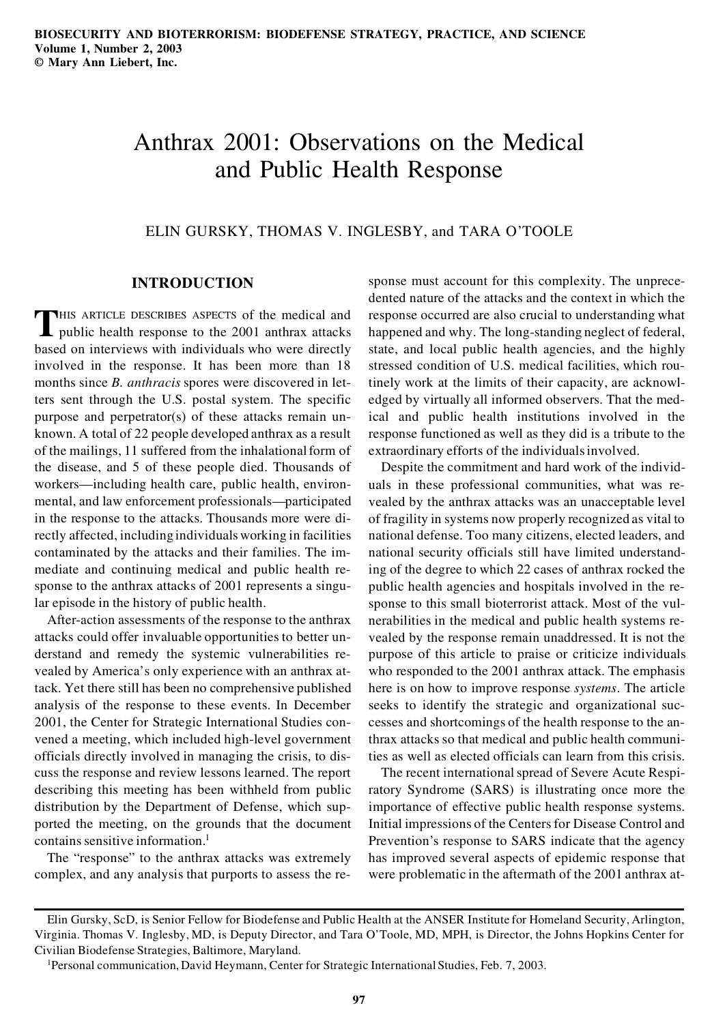# Anthrax 2001: Observations on the Medical and Public Health Response

ELIN GURSKY, THOMAS V. INGLESBY, and TARA O'TOOLE

#### **INTRODUCTION**

THIS ARTICLE DESCRIBES ASPECTS of the medical and public health response to the 2001 anthrax attacks HIS ARTICLE DESCRIBES ASPECTS of the medical and based on interviews with individuals who were directly involved in the response. It has been more than 18 months since *B. anthracis* spores were discovered in letters sent through the U.S. postal system. The specific purpose and perpetrator(s) of these attacks remain unknown. A total of 22 people developed anthrax as a result of the mailings, 11 suffered from the inhalational form of the disease, and 5 of these people died. Thousands of workers—including health care, public health, environmental, and law enforcement professionals—participated in the response to the attacks. Thousands more were directly affected, including individuals working in facilities contaminated by the attacks and their families. The immediate and continuing medical and public health response to the anthrax attacks of 2001 represents a singular episode in the history of public health.

After-action assessments of the response to the anthrax attacks could offer invaluable opportunities to better understand and remedy the systemic vulnerabilities revealed by America's only experience with an anthrax attack. Yet there still has been no comprehensive published analysis of the response to these events. In December 2001, the Center for Strategic International Studies convened a meeting, which included high-level government officials directly involved in managing the crisis, to discuss the response and review lessons learned. The report describing this meeting has been withheld from public distribution by the Department of Defense, which supported the meeting, on the grounds that the document contains sensitive information.<sup>1</sup>

The "response" to the anthrax attacks was extremely complex, and any analysis that purports to assess the response must account for this complexity. The unprecedented nature of the attacks and the context in which the response occurred are also crucial to understanding what happened and why. The long-standing neglect of federal, state, and local public health agencies, and the highly stressed condition of U.S. medical facilities, which routinely work at the limits of their capacity, are acknowledged by virtually all informed observers. That the medical and public health institutions involved in the response functioned as well as they did is a tribute to the extraordinary efforts of the individuals involved.

Despite the commitment and hard work of the individuals in these professional communities, what was revealed by the anthrax attacks was an unacceptable level of fragility in systems now properly recognized as vital to national defense. Too many citizens, elected leaders, and national security officials still have limited understanding of the degree to which 22 cases of anthrax rocked the public health agencies and hospitals involved in the response to this small bioterrorist attack. Most of the vulnerabilities in the medical and public health systems revealed by the response remain unaddressed. It is not the purpose of this article to praise or criticize individuals who responded to the 2001 anthrax attack. The emphasis here is on how to improve response *systems*. The article seeks to identify the strategic and organizational successes and shortcomings of the health response to the anthrax attacks so that medical and public health communities as well as elected officials can learn from this crisis.

The recent international spread of Severe Acute Respiratory Syndrome (SARS) is illustrating once more the importance of effective public health response systems. Initial impressions of the Centers for Disease Control and Prevention's response to SARS indicate that the agency has improved several aspects of epidemic response that were problematic in the aftermath of the 2001 anthrax at-

Elin Gursky, ScD, is Senior Fellow for Biodefense and Public Health at the ANSER Institute for Homeland Security, Arlington, Virginia. Thomas V. Inglesby, MD, is Deputy Director, and Tara O'Toole, MD, MPH, is Director, the Johns Hopkins Center for Civilian Biodefense Strategies, Baltimore, Maryland.

<sup>1</sup>Personal communication, David Heymann, Center for Strategic International Studies, Feb. 7, 2003.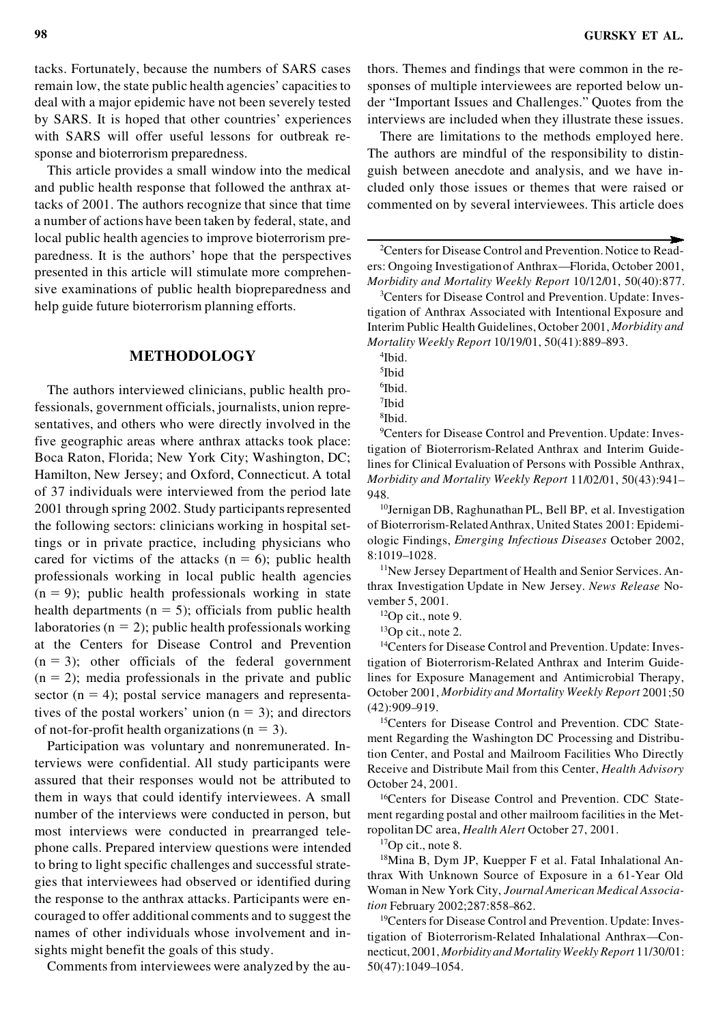tacks. Fortunately, because the numbers of SARS cases remain low, the state public health agencies' capacities to deal with a major epidemic have not been severely tested by SARS. It is hoped that other countries' experiences with SARS will offer useful lessons for outbreak response and bioterrorism preparedness.

This article provides a small window into the medical and public health response that followed the anthrax attacks of 2001. The authors recognize that since that time a number of actions have been taken by federal, state, and local public health agencies to improve bioterrorism preparedness. It is the authors' hope that the perspectives presented in this article will stimulate more comprehensive examinations of public health biopreparedness and help guide future bioterrorism planning efforts.

#### **METHODOLOGY**

The authors interviewed clinicians, public health professionals, government officials, journalists, union representatives, and others who were directly involved in the five geographic areas where anthrax attacks took place: Boca Raton, Florida; New York City; Washington, DC; Hamilton, New Jersey; and Oxford, Connecticut. A total of 37 individuals were interviewed from the period late 2001 through spring 2002. Study participants represented the following sectors: clinicians working in hospital settings or in private practice, including physicians who cared for victims of the attacks  $(n = 6)$ ; public health professionals working in local public health agencies  $(n = 9)$ ; public health professionals working in state health departments ( $n = 5$ ); officials from public health laboratories ( $n = 2$ ); public health professionals working at the Centers for Disease Control and Prevention  $(n = 3)$ ; other officials of the federal government  $(n = 2)$ ; media professionals in the private and public sector  $(n = 4)$ ; postal service managers and representatives of the postal workers' union  $(n = 3)$ ; and directors of not-for-profit health organizations ( $n = 3$ ).

Participation was voluntary and nonremunerated. Interviews were confidential. All study participants were assured that their responses would not be attributed to them in ways that could identify interviewees. A small number of the interviews were conducted in person, but most interviews were conducted in prearranged telephone calls. Prepared interview questions were intended to bring to light specific challenges and successful strategies that interviewees had observed or identified during the response to the anthrax attacks. Participants were encouraged to offer additional comments and to suggest the names of other individuals whose involvement and insights might benefit the goals of this study.

Comments from interviewees were analyzed by the au-

thors. Themes and findings that were common in the responses of multiple interviewees are reported below under "Important Issues and Challenges." Quotes from the interviews are included when they illustrate these issues.

There are limitations to the methods employed here. The authors are mindful of the responsibility to distinguish between anecdote and analysis, and we have included only those issues or themes that were raised or commented on by several interviewees. This article does

<sup>2</sup>Centers for Disease Control and Prevention. Notice to Read ers: Ongoing Investigation of Anthrax—Florida, October 2001, *Morbidity and Mortality Weekly Report* 10/12/01, 50(40):877.

3Centers for Disease Control and Prevention. Update: Investigation of Anthrax Associated with Intentional Exposure and Interim Public Health Guidelines, October 2001, *Morbidity and Mortality Weekly Report* 10/19/01, 50(41):889–893.

<sup>4</sup>Ibid.

<sup>5</sup>Ibid

<sup>6</sup>Ibid.

<sup>7</sup>Ibid

<sup>8</sup>Ibid.

9Centers for Disease Control and Prevention. Update: Investigation of Bioterrorism-Related Anthrax and Interim Guidelines for Clinical Evaluation of Persons with Possible Anthrax, *Morbidity and Mortality Weekly Report* 11/02/01, 50(43):941– 948.

<sup>10</sup>Jernigan DB, Raghunathan PL, Bell BP, et al. Investigation of Bioterrorism-Related Anthrax, United States 2001: Epidemiologic Findings, *Emerging Infectious Diseases* October 2002, 8:1019–1028.

11New Jersey Department of Health and Senior Services. Anthrax Investigation Update in New Jersey. *News Release* November 5, 2001.

 $12$ Op cit., note 9.

 $13$ Op cit., note 2.

<sup>14</sup>Centers for Disease Control and Prevention. Update: Investigation of Bioterrorism-Related Anthrax and Interim Guidelines for Exposure Management and Antimicrobial Therapy, October 2001, *Morbidity and Mortality Weekly Report* 2001;50 (42):909–919.

15Centers for Disease Control and Prevention. CDC Statement Regarding the Washington DC Processing and Distribution Center, and Postal and Mailroom Facilities Who Directly Receive and Distribute Mail from this Center, *Health Advisory* October 24, 2001.

16Centers for Disease Control and Prevention. CDC Statement regarding postal and other mailroom facilities in the Metropolitan DC area, *Health Alert* October 27, 2001.

 $17$ Op cit., note 8.

18Mina B, Dym JP, Kuepper F et al. Fatal Inhalational Anthrax With Unknown Source of Exposure in a 61-Year Old Woman in New York City, *Journal American Medical Association* February 2002;287:858–862.

19Centers for Disease Control and Prevention. Update: Investigation of Bioterrorism-Related Inhalational Anthrax—Connecticut, 2001, *Morbidity and Mortality Weekly Report* 11/30/01: 50(47):1049–1054.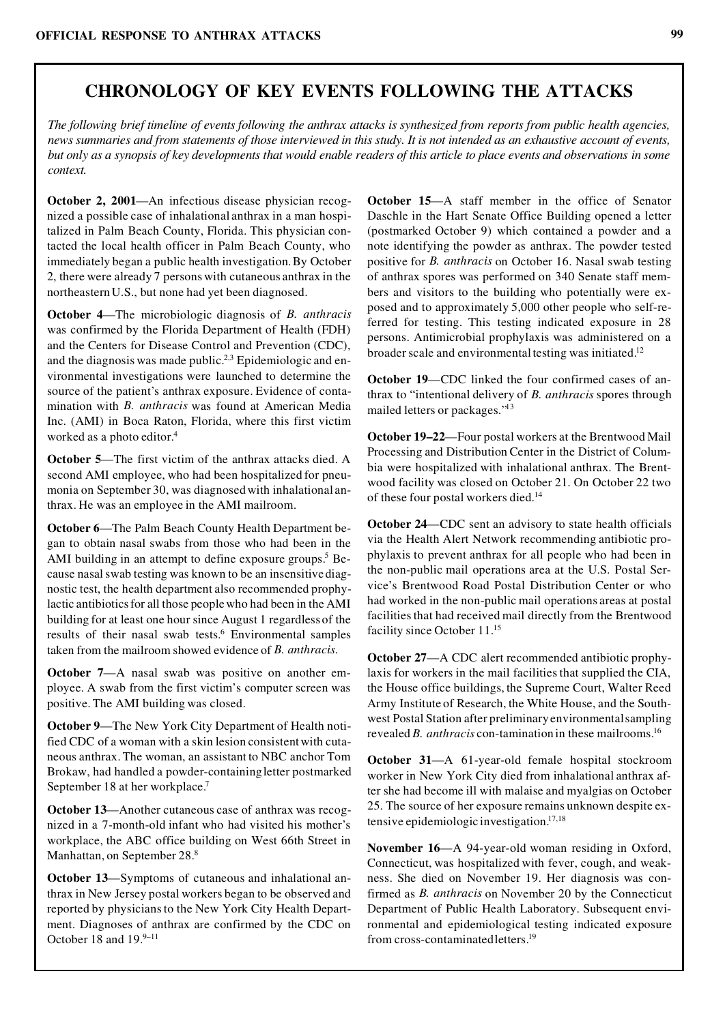# **CHRONOLOGY OF KEY EVENTS FOLLOWING THE ATTACKS**

*The following brief timeline of events following the anthrax attacks is synthesized from reports from public health agencies, news summaries and from statements of those interviewed in this study. It is not intended as an exhaustive account of events, but only as a synopsis of key developments that would enable readers of this article to place events and observations in some context.*

**October 2, 2001**—An infectious disease physician recognized a possible case of inhalational anthrax in a man hospitalized in Palm Beach County, Florida. This physician contacted the local health officer in Palm Beach County, who immediately began a public health investigation. By October 2, there were already 7 persons with cutaneous anthrax in the northeastern U.S., but none had yet been diagnosed.

**October 4**—The microbiologic diagnosis of *B. anthracis* was confirmed by the Florida Department of Health (FDH) and the Centers for Disease Control and Prevention (CDC), and the diagnosis was made public.<sup>2,3</sup> Epidemiologic and environmental investigations were launched to determine the source of the patient's anthrax exposure. Evidence of contamination with *B. anthracis* was found at American Media Inc. (AMI) in Boca Raton, Florida, where this first victim worked as a photo editor.<sup>4</sup>

**October 5**—The first victim of the anthrax attacks died. A second AMI employee, who had been hospitalized for pneumonia on September 30, was diagnosed with inhalational anthrax. He was an employee in the AMI mailroom.

**October 6**—The Palm Beach County Health Department began to obtain nasal swabs from those who had been in the AMI building in an attempt to define exposure groups.<sup>5</sup> Because nasal swab testing was known to be an insensitive diagnostic test, the health department also recommended prophylactic antibiotics for all those people who had been in the AMI building for at least one hour since August 1 regardless of the results of their nasal swab tests.<sup>6</sup> Environmental samples taken from the mailroom showed evidence of *B. anthracis.*

**October 7**—A nasal swab was positive on another em ployee. A swab from the first victim's computer screen was positive. The AMI building was closed.

**October 9**—The New York City Department of Health notified CDC of a woman with a skin lesion consistent with cuta neous anthrax. The woman, an assistant to NBC anchor Tom Brokaw, had handled a powder-containing letter postmarked September 18 at her workplace.<sup>7</sup>

**October 13**—Another cutaneous case of anthrax was recognized in a 7-month-old infant who had visited his mother's workplace, the ABC office building on West 66th Street in Manhattan, on September 28.<sup>8</sup>

**October 13**—Symptoms of cutaneous and inhalational anthrax in New Jersey postal workers began to be observed and reported by physicians to the New York City Health Department. Diagnoses of anthrax are confirmed by the CDC on October 18 and  $19.9-11$ 

**October 15—A** staff member in the office of Senator Daschle in the Hart Senate Office Building opened a letter (postmarked October 9) which contained a powder and a note identifying the powder as anthrax. The powder tested positive for *B. anthracis* on October 16. Nasal swab testing of anthrax spores was performed on 340 Senate staff mem bers and visitors to the building who potentially were ex posed and to approximately 5,000 other people who self-referred for testing. This testing indicated exposure in 28 persons. Antimicrobial prophylaxis was administered on a broader scale and environmental testing was initiated.<sup>12</sup>

**October 19**—CDC linked the four confirmed cases of anthrax to "intentional delivery of *B. anthracis* spores through mailed letters or packages."<sup>13</sup>

**October 19–22**—Four postal workers at the Brentwood Mail Processing and Distribution Center in the District of Columbia were hospitalized with inhalational anthrax. The Brentwood facility was closed on October 21. On October 22 two of these four postal workers died.<sup>14</sup>

**October 24**—CDC sent an advisory to state health officials via the Health Alert Network recommending antibiotic prophylaxis to prevent anthrax for all people who had been in the non-public mail operations area at the U.S. Postal Service's Brentwood Road Postal Distribution Center or who had worked in the non-public mail operations areas at postal facilities that had received mail directly from the Brentwood facility since October 11.<sup>15</sup>

**October 27**—A CDC alert recommended antibiotic prophylaxis for workers in the mail facilities that supplied the CIA, the House office buildings, the Supreme Court, Walter Reed Army Institute of Research, the White House, and the Southwest Postal Station after preliminary environmental sampling revealed *B. anthracis* con-tamination in these mailrooms.<sup>16</sup>

**October 31**—A 61-year-old female hospital stockroom worker in New York City died from inhalational anthrax after she had become ill with malaise and myalgias on October 25. The source of her exposure remains unknown despite extensive epidemiologic investigation.17,18

**November 16**—A 94-year-old woman residing in Oxford, Connecticut, was hospitalized with fever, cough, and weak ness. She died on November 19. Her diagnosis was confirmed as *B. anthracis* on November 20 by the Connecticut Department of Public Health Laboratory. Subsequent environmental and epidemiological testing indicated exposure from cross-contaminatedletters.<sup>19</sup>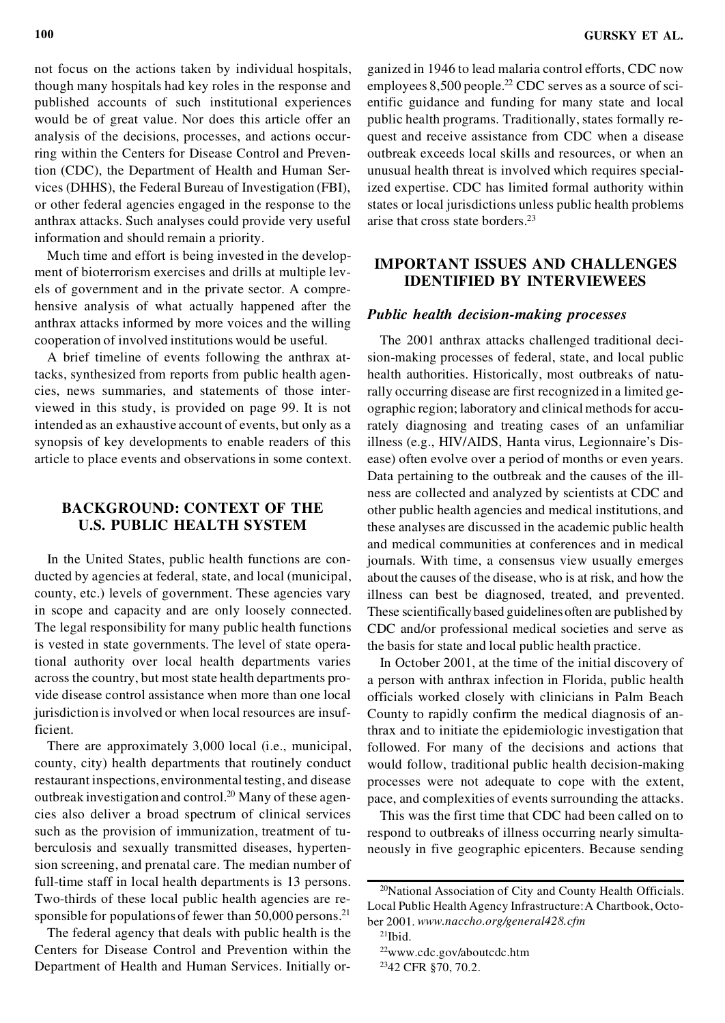not focus on the actions taken by individual hospitals, though many hospitals had key roles in the response and published accounts of such institutional experiences would be of great value. Nor does this article offer an analysis of the decisions, processes, and actions occurring within the Centers for Disease Control and Prevention (CDC), the Department of Health and Human Services (DHHS), the Federal Bureau of Investigation (FBI), or other federal agencies engaged in the response to the anthrax attacks. Such analyses could provide very useful information and should remain a priority.

Much time and effort is being invested in the development of bioterrorism exercises and drills at multiple levels of government and in the private sector. A comprehensive analysis of what actually happened after the anthrax attacks informed by more voices and the willing cooperation of involved institutions would be useful.

A brief timeline of events following the anthrax attacks, synthesized from reports from public health agencies, news summaries, and statements of those interviewed in this study, is provided on page 99. It is not intended as an exhaustive account of events, but only as a synopsis of key developments to enable readers of this article to place events and observations in some context.

### **BACKGROUND: CONTEXT OF THE U.S. PUBLIC HEALTH SYSTEM**

In the United States, public health functions are conducted by agencies at federal, state, and local (municipal, county, etc.) levels of government. These agencies vary in scope and capacity and are only loosely connected. The legal responsibility for many public health functions is vested in state governments. The level of state operational authority over local health departments varies across the country, but most state health departments provide disease control assistance when more than one local jurisdiction is involved or when local resources are insufficient.

There are approximately 3,000 local (i.e., municipal, county, city) health departments that routinely conduct restaurant inspections, environmental testing, and disease outbreak investigation and control.<sup>20</sup> Many of these agencies also deliver a broad spectrum of clinical services such as the provision of immunization, treatment of tuberculosis and sexually transmitted diseases, hypertension screening, and prenatal care. The median number of full-time staff in local health departments is 13 persons. Two-thirds of these local public health agencies are responsible for populations of fewer than 50,000 persons.<sup>21</sup>

The federal agency that deals with public health is the Centers for Disease Control and Prevention within the Department of Health and Human Services. Initially or-

ganized in 1946 to lead malaria control efforts, CDC now employees  $8,500$  people.<sup>22</sup> CDC serves as a source of scientific guidance and funding for many state and local public health programs. Traditionally, states formally request and receive assistance from CDC when a disease outbreak exceeds local skills and resources, or when an unusual health threat is involved which requires specialized expertise. CDC has limited formal authority within states or local jurisdictions unless public health problems arise that cross state borders.<sup>23</sup>

# **IMPORTANT ISSUES AND CHALLENGES IDENTIFIED BY INTERVIEWEES**

#### *Public health decision-making processes*

The 2001 anthrax attacks challenged traditional decision-making processes of federal, state, and local public health authorities. Historically, most outbreaks of naturally occurring disease are first recognized in a limited geographic region; laboratory and clinical methods for accurately diagnosing and treating cases of an unfamiliar illness (e.g., HIV/AIDS, Hanta virus, Legionnaire's Disease) often evolve over a period of months or even years. Data pertaining to the outbreak and the causes of the illness are collected and analyzed by scientists at CDC and other public health agencies and medical institutions, and these analyses are discussed in the academic public health and medical communities at conferences and in medical journals. With time, a consensus view usually emerges about the causes of the disease, who is at risk, and how the illness can best be diagnosed, treated, and prevented. These scientifically based guidelines often are published by CDC and/or professional medical societies and serve as the basis for state and local public health practice.

In October 2001, at the time of the initial discovery of a person with anthrax infection in Florida, public health officials worked closely with clinicians in Palm Beach County to rapidly confirm the medical diagnosis of anthrax and to initiate the epidemiologic investigation that followed. For many of the decisions and actions that would follow, traditional public health decision-making processes were not adequate to cope with the extent, pace, and complexities of events surrounding the attacks.

This was the first time that CDC had been called on to respond to outbreaks of illness occurring nearly simultaneously in five geographic epicenters. Because sending

 $21$ Ibid.

<sup>20</sup>National Association of City and County Health Officials. Local Public Health Agency Infrastructure: A Chartbook, October 2001. *www.naccho.org/general428.cfm*

<sup>22</sup>www.cdc.gov/aboutcdc.htm

<sup>23</sup>42 CFR §70, 70.2.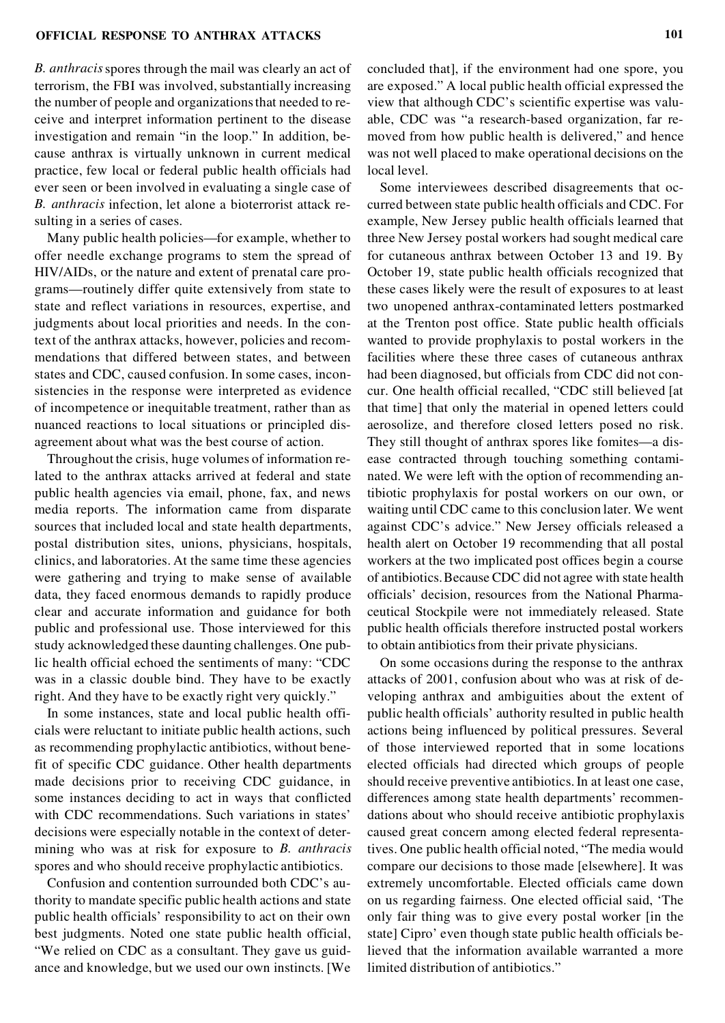### **OFFICIAL RESPONSE TO ANTHRAX ATTACKS 101**

*B. anthracis*spores through the mail was clearly an act of terrorism, the FBI was involved, substantially increasing the number of people and organizations that needed to receive and interpret information pertinent to the disease investigation and remain "in the loop." In addition, because anthrax is virtually unknown in current medical practice, few local or federal public health officials had ever seen or been involved in evaluating a single case of *B. anthracis* infection, let alone a bioterrorist attack resulting in a series of cases.

Many public health policies—for example, whether to offer needle exchange programs to stem the spread of HIV/AIDs, or the nature and extent of prenatal care programs—routinely differ quite extensively from state to state and reflect variations in resources, expertise, and judgments about local priorities and needs. In the context of the anthrax attacks, however, policies and recommendations that differed between states, and between states and CDC, caused confusion. In some cases, inconsistencies in the response were interpreted as evidence of incompetence or inequitable treatment, rather than as nuanced reactions to local situations or principled disagreement about what was the best course of action.

Throughout the crisis, huge volumes of information related to the anthrax attacks arrived at federal and state public health agencies via email, phone, fax, and news media reports. The information came from disparate sources that included local and state health departments, postal distribution sites, unions, physicians, hospitals, clinics, and laboratories. At the same time these agencies were gathering and trying to make sense of available data, they faced enormous demands to rapidly produce clear and accurate information and guidance for both public and professional use. Those interviewed for this study acknowledged these daunting challenges. One public health official echoed the sentiments of many: "CDC was in a classic double bind. They have to be exactly right. And they have to be exactly right very quickly."

In some instances, state and local public health officials were reluctant to initiate public health actions, such as recommending prophylactic antibiotics, without benefit of specific CDC guidance. Other health departments made decisions prior to receiving CDC guidance, in some instances deciding to act in ways that conflicted with CDC recommendations. Such variations in states' decisions were especially notable in the context of determining who was at risk for exposure to *B. anthracis* spores and who should receive prophylactic antibiotics.

Confusion and contention surrounded both CDC's authority to mandate specific public health actions and state public health officials' responsibility to act on their own best judgments. Noted one state public health official, "We relied on CDC as a consultant. They gave us guidance and knowledge, but we used our own instincts. [We

concluded that], if the environment had one spore, you are exposed." A local public health official expressed the view that although CDC's scientific expertise was valuable, CDC was "a research-based organization, far removed from how public health is delivered," and hence was not well placed to make operational decisions on the local level.

Some interviewees described disagreements that occurred between state public health officials and CDC. For example, New Jersey public health officials learned that three New Jersey postal workers had sought medical care for cutaneous anthrax between October 13 and 19. By October 19, state public health officials recognized that these cases likely were the result of exposures to at least two unopened anthrax-contaminated letters postmarked at the Trenton post office. State public health officials wanted to provide prophylaxis to postal workers in the facilities where these three cases of cutaneous anthrax had been diagnosed, but officials from CDC did not concur. One health official recalled, "CDC still believed [at that time] that only the material in opened letters could aerosolize, and therefore closed letters posed no risk. They still thought of anthrax spores like fomites—a disease contracted through touching something contaminated. We were left with the option of recommending antibiotic prophylaxis for postal workers on our own, or waiting until CDC came to this conclusion later. We went against CDC's advice." New Jersey officials released a health alert on October 19 recommending that all postal workers at the two implicated post offices begin a course of antibiotics. Because CDC did not agree with state health officials' decision, resources from the National Pharmaceutical Stockpile were not immediately released. State public health officials therefore instructed postal workers to obtain antibiotics from their private physicians.

On some occasions during the response to the anthrax attacks of 2001, confusion about who was at risk of developing anthrax and ambiguities about the extent of public health officials' authority resulted in public health actions being influenced by political pressures. Several of those interviewed reported that in some locations elected officials had directed which groups of people should receive preventive antibiotics. In at least one case, differences among state health departments' recommendations about who should receive antibiotic prophylaxis caused great concern among elected federal representatives. One public health official noted, "The media would compare our decisions to those made [elsewhere]. It was extremely uncomfortable. Elected officials came down on us regarding fairness. One elected official said, 'The only fair thing was to give every postal worker [in the state] Cipro' even though state public health officials believed that the information available warranted a more limited distribution of antibiotics."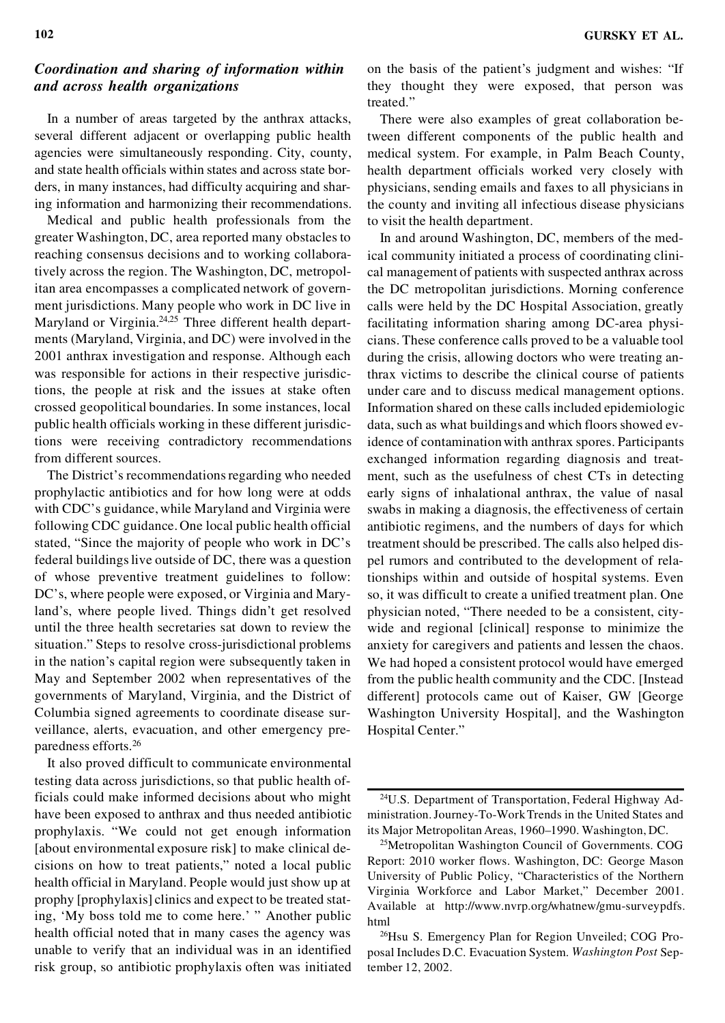# *Coordination and sharing of information within and across health organizations*

In a number of areas targeted by the anthrax attacks, several different adjacent or overlapping public health agencies were simultaneously responding. City, county, and state health officials within states and across state borders, in many instances, had difficulty acquiring and sharing information and harmonizing their recommendations.

Medical and public health professionals from the greater Washington, DC, area reported many obstacles to reaching consensus decisions and to working collaboratively across the region. The Washington, DC, metropolitan area encompasses a complicated network of government jurisdictions. Many people who work in DC live in Maryland or Virginia.<sup>24,25</sup> Three different health departments (Maryland, Virginia, and DC) were involved in the 2001 anthrax investigation and response. Although each was responsible for actions in their respective jurisdictions, the people at risk and the issues at stake often crossed geopolitical boundaries. In some instances, local public health officials working in these different jurisdictions were receiving contradictory recommendations from different sources.

The District's recommendations regarding who needed prophylactic antibiotics and for how long were at odds with CDC's guidance, while Maryland and Virginia were following CDC guidance. One local public health official stated, "Since the majority of people who work in DC's federal buildings live outside of DC, there was a question of whose preventive treatment guidelines to follow: DC's, where people were exposed, or Virginia and Maryland's, where people lived. Things didn't get resolved until the three health secretaries sat down to review the situation." Steps to resolve cross-jurisdictional problems in the nation's capital region were subsequently taken in May and September 2002 when representatives of the governments of Maryland, Virginia, and the District of Columbia signed agreements to coordinate disease surveillance, alerts, evacuation, and other emergency preparedness efforts.<sup>26</sup>

It also proved difficult to communicate environmental testing data across jurisdictions, so that public health officials could make informed decisions about who might have been exposed to anthrax and thus needed antibiotic prophylaxis. "We could not get enough information [about environmental exposure risk] to make clinical decisions on how to treat patients," noted a local public health official in Maryland. People would just show up at prophy [prophylaxis] clinics and expect to be treated stating, 'My boss told me to come here.' " Another public health official noted that in many cases the agency was unable to verify that an individual was in an identified risk group, so antibiotic prophylaxis often was initiated on the basis of the patient's judgment and wishes: "If they thought they were exposed, that person was treated."

There were also examples of great collaboration between different components of the public health and medical system. For example, in Palm Beach County, health department officials worked very closely with physicians, sending emails and faxes to all physicians in the county and inviting all infectious disease physicians to visit the health department.

In and around Washington, DC, members of the medical community initiated a process of coordinating clinical management of patients with suspected anthrax across the DC metropolitan jurisdictions. Morning conference calls were held by the DC Hospital Association, greatly facilitating information sharing among DC-area physicians. These conference calls proved to be a valuable tool during the crisis, allowing doctors who were treating anthrax victims to describe the clinical course of patients under care and to discuss medical management options. Information shared on these calls included epidemiologic data, such as what buildings and which floors showed evidence of contamination with anthrax spores. Participants exchanged information regarding diagnosis and treatment, such as the usefulness of chest CTs in detecting early signs of inhalational anthrax, the value of nasal swabs in making a diagnosis, the effectiveness of certain antibiotic regimens, and the numbers of days for which treatment should be prescribed. The calls also helped dispel rumors and contributed to the development of relationships within and outside of hospital systems. Even so, it was difficult to create a unified treatment plan. One physician noted, "There needed to be a consistent, citywide and regional [clinical] response to minimize the anxiety for caregivers and patients and lessen the chaos. We had hoped a consistent protocol would have emerged from the public health community and the CDC. [Instead different] protocols came out of Kaiser, GW [George Washington University Hospital], and the Washington Hospital Center."

<sup>24</sup>U.S. Department of Transportation, Federal Highway Administration. Journey-To-Work Trends in the United States and its Major Metropolitan Areas, 1960–1990. Washington, DC.

<sup>25</sup>Metropolitan Washington Council of Governments. COG Report: 2010 worker flows. Washington, DC: George Mason University of Public Policy, "Characteristics of the Northern Virginia Workforce and Labor Market," December 2001. Available at http://www.nvrp.org/whatnew/gmu-surveypdfs. html

<sup>26</sup>Hsu S. Emergency Plan for Region Unveiled; COG Proposal Includes D.C. Evacuation System. *Washington Post* September 12, 2002.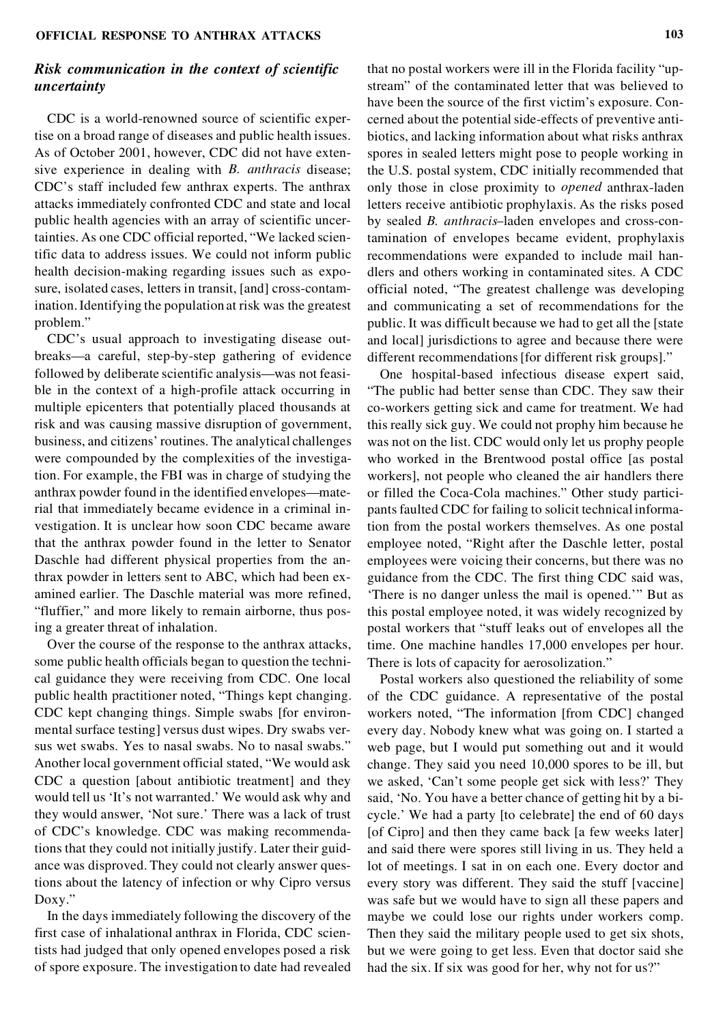#### *Risk communication in the context of scientific uncertainty*

CDC is a world-renowned source of scientific expertise on a broad range of diseases and public health issues. As of October 2001, however, CDC did not have extensive experience in dealing with *B. anthracis* disease; CDC's staff included few anthrax experts. The anthrax attacks immediately confronted CDC and state and local public health agencies with an array of scientific uncertainties. As one CDC official reported, "We lacked scientific data to address issues. We could not inform public health decision-making regarding issues such as exposure, isolated cases, letters in transit, [and] cross-contamination. Identifying the population at risk was the greatest problem."

CDC's usual approach to investigating disease outbreaks—a careful, step-by-step gathering of evidence followed by deliberate scientific analysis—was not feasible in the context of a high-profile attack occurring in multiple epicenters that potentially placed thousands at risk and was causing massive disruption of government, business, and citizens' routines. The analytical challenges were compounded by the complexities of the investigation. For example, the FBI was in charge of studying the anthrax powder found in the identified envelopes—material that immediately became evidence in a criminal investigation. It is unclear how soon CDC became aware that the anthrax powder found in the letter to Senator Daschle had different physical properties from the anthrax powder in letters sent to ABC, which had been examined earlier. The Daschle material was more refined, "fluffier," and more likely to remain airborne, thus posing a greater threat of inhalation.

Over the course of the response to the anthrax attacks, some public health officials began to question the technical guidance they were receiving from CDC. One local public health practitioner noted, "Things kept changing. CDC kept changing things. Simple swabs [for environmental surface testing] versus dust wipes. Dry swabs versus wet swabs. Yes to nasal swabs. No to nasal swabs." Another local government official stated, "We would ask CDC a question [about antibiotic treatment] and they would tell us 'It's not warranted.' We would ask why and they would answer, 'Not sure.' There was a lack of trust of CDC's knowledge. CDC was making recommendations that they could not initially justify. Later their guidance was disproved. They could not clearly answer questions about the latency of infection or why Cipro versus Doxy."

In the days immediately following the discovery of the first case of inhalational anthrax in Florida, CDC scientists had judged that only opened envelopes posed a risk of spore exposure. The investigation to date had revealed that no postal workers were ill in the Florida facility "upstream" of the contaminated letter that was believed to have been the source of the first victim's exposure. Concerned about the potential side-effects of preventive antibiotics, and lacking information about what risks anthrax spores in sealed letters might pose to people working in the U.S. postal system, CDC initially recommended that only those in close proximity to *opened* anthrax-laden letters receive antibiotic prophylaxis. As the risks posed by sealed *B. anthracis*–laden envelopes and cross-contamination of envelopes became evident, prophylaxis recommendations were expanded to include mail handlers and others working in contaminated sites. A CDC official noted, "The greatest challenge was developing and communicating a set of recommendations for the public. It was difficult because we had to get all the [state and local] jurisdictions to agree and because there were different recommendations [for different risk groups]."

One hospital-based infectious disease expert said, "The public had better sense than CDC. They saw their co-workers getting sick and came for treatment. We had this really sick guy. We could not prophy him because he was not on the list. CDC would only let us prophy people who worked in the Brentwood postal office [as postal workers], not people who cleaned the air handlers there or filled the Coca-Cola machines." Other study participants faulted CDC for failing to solicit technical information from the postal workers themselves. As one postal employee noted, "Right after the Daschle letter, postal employees were voicing their concerns, but there was no guidance from the CDC. The first thing CDC said was, 'There is no danger unless the mail is opened.'" But as this postal employee noted, it was widely recognized by postal workers that "stuff leaks out of envelopes all the time. One machine handles 17,000 envelopes per hour. There is lots of capacity for aerosolization."

Postal workers also questioned the reliability of some of the CDC guidance. A representative of the postal workers noted, "The information [from CDC] changed every day. Nobody knew what was going on. I started a web page, but I would put something out and it would change. They said you need 10,000 spores to be ill, but we asked, 'Can't some people get sick with less?' They said, 'No. You have a better chance of getting hit by a bicycle.' We had a party [to celebrate] the end of 60 days [of Cipro] and then they came back [a few weeks later] and said there were spores still living in us. They held a lot of meetings. I sat in on each one. Every doctor and every story was different. They said the stuff [vaccine] was safe but we would have to sign all these papers and maybe we could lose our rights under workers comp. Then they said the military people used to get six shots, but we were going to get less. Even that doctor said she had the six. If six was good for her, why not for us?"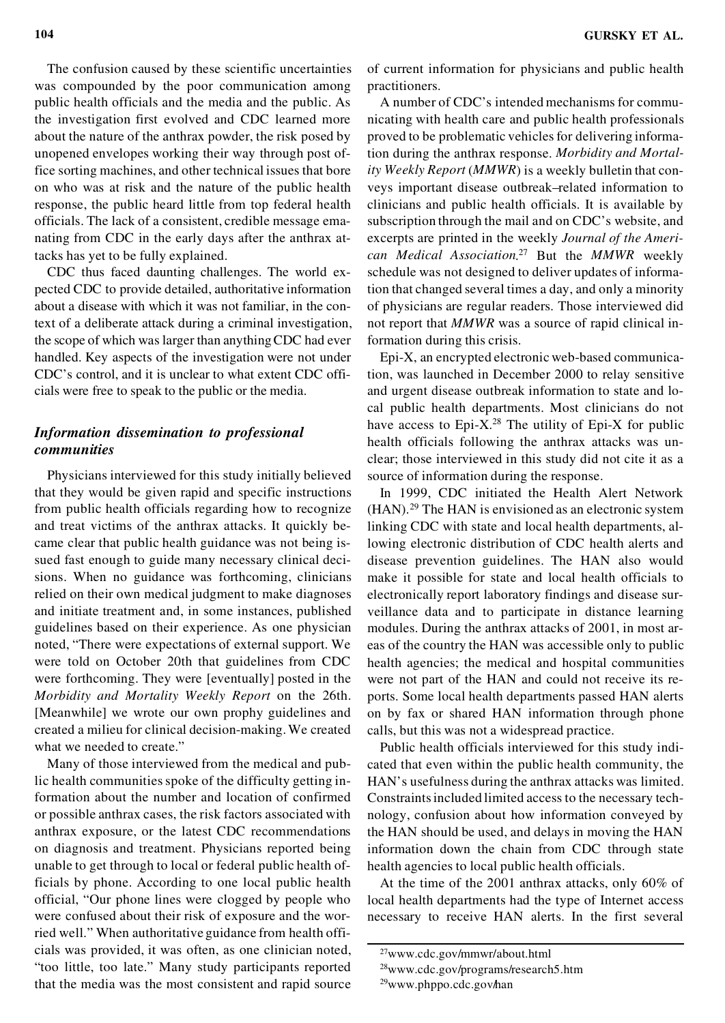The confusion caused by these scientific uncertainties was compounded by the poor communication among public health officials and the media and the public. As the investigation first evolved and CDC learned more about the nature of the anthrax powder, the risk posed by unopened envelopes working their way through post office sorting machines, and other technical issues that bore on who was at risk and the nature of the public health response, the public heard little from top federal health officials. The lack of a consistent, credible message emanating from CDC in the early days after the anthrax attacks has yet to be fully explained.

CDC thus faced daunting challenges. The world expected CDC to provide detailed, authoritative information about a disease with which it was not familiar, in the context of a deliberate attack during a criminal investigation, the scope of which was larger than anything CDC had ever handled. Key aspects of the investigation were not under CDC's control, and it is unclear to what extent CDC officials were free to speak to the public or the media.

#### *Information dissemination to professional communities*

Physicians interviewed for this study initially believed that they would be given rapid and specific instructions from public health officials regarding how to recognize and treat victims of the anthrax attacks. It quickly became clear that public health guidance was not being issued fast enough to guide many necessary clinical decisions. When no guidance was forthcoming, clinicians relied on their own medical judgment to make diagnoses and initiate treatment and, in some instances, published guidelines based on their experience. As one physician noted, "There were expectations of external support. We were told on October 20th that guidelines from CDC were forthcoming. They were [eventually] posted in the *Morbidity and Mortality Weekly Report* on the 26th. [Meanwhile] we wrote our own prophy guidelines and created a milieu for clinical decision-making. We created what we needed to create."

Many of those interviewed from the medical and public health communities spoke of the difficulty getting information about the number and location of confirmed or possible anthrax cases, the risk factors associated with anthrax exposure, or the latest CDC recommendations on diagnosis and treatment. Physicians reported being unable to get through to local or federal public health officials by phone. According to one local public health official, "Our phone lines were clogged by people who were confused about their risk of exposure and the worried well." When authoritative guidance from health officials was provided, it was often, as one clinician noted, "too little, too late." Many study participants reported that the media was the most consistent and rapid source of current information for physicians and public health practitioners.

A number of CDC's intended mechanisms for communicating with health care and public health professionals proved to be problematic vehicles for delivering information during the anthrax response. *Morbidity and Mortality Weekly Report* (*MMWR*) is a weekly bulletin that conveys important disease outbreak–related information to clinicians and public health officials. It is available by subscription through the mail and on CDC's website, and excerpts are printed in the weekly *Journal of the Ameri can Medical Association*.<sup>27</sup> But the *MMWR* weekly schedule was not designed to deliver updates of information that changed several times a day, and only a minority of physicians are regular readers. Those interviewed did not report that *MMWR* was a source of rapid clinical information during this crisis.

Epi-X, an encrypted electronic web-based communication, was launched in December 2000 to relay sensitive and urgent disease outbreak information to state and local public health departments. Most clinicians do not have access to  $Epi-X<sup>28</sup>$  The utility of  $Epi-X$  for public health officials following the anthrax attacks was unclear; those interviewed in this study did not cite it as a source of information during the response.

In 1999, CDC initiated the Health Alert Network  $(HAN)$ .<sup>29</sup> The HAN is envisioned as an electronic system linking CDC with state and local health departments, allowing electronic distribution of CDC health alerts and disease prevention guidelines. The HAN also would make it possible for state and local health officials to electronically report laboratory findings and disease surveillance data and to participate in distance learning modules. During the anthrax attacks of 2001, in most areas of the country the HAN was accessible only to public health agencies; the medical and hospital communities were not part of the HAN and could not receive its reports. Some local health departments passed HAN alerts on by fax or shared HAN information through phone calls, but this was not a widespread practice.

Public health officials interviewed for this study indicated that even within the public health community, the HAN's usefulness during the anthrax attacks was limited. Constraints included limited access to the necessary technology, confusion about how information conveyed by the HAN should be used, and delays in moving the HAN information down the chain from CDC through state health agencies to local public health officials.

At the time of the 2001 anthrax attacks, only 60% of local health departments had the type of Internet access necessary to receive HAN alerts. In the first several

<sup>27</sup>www.cdc.gov/mmwr/about.html <sup>28</sup>www.cdc.gov/programs/research5.htm

<sup>29</sup>www.phppo.cdc.gov/han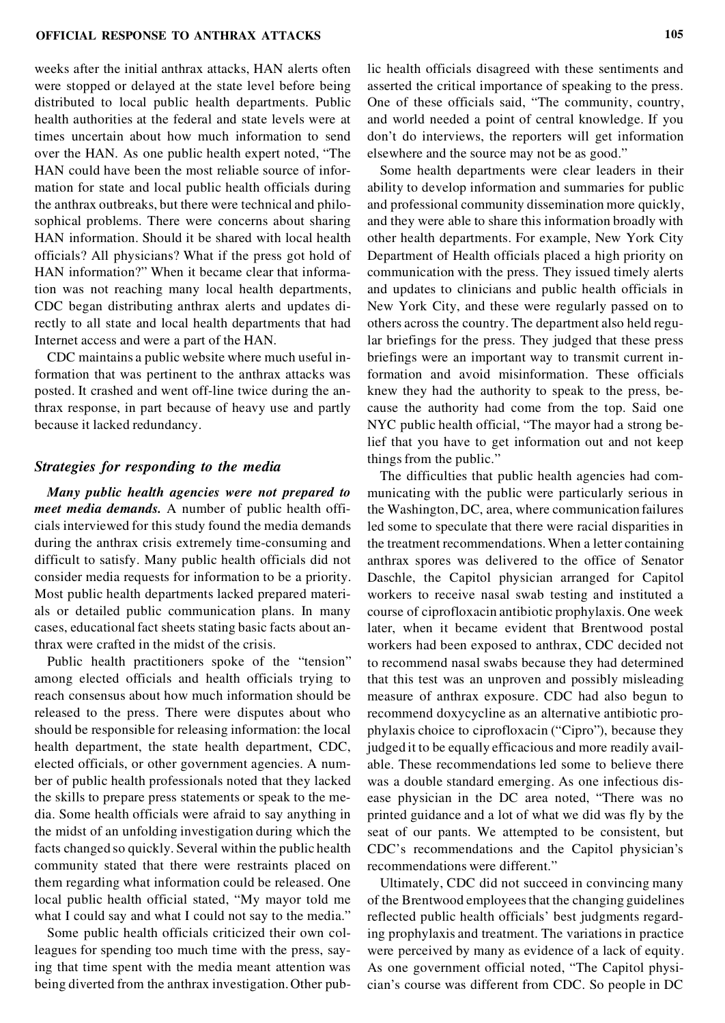weeks after the initial anthrax attacks, HAN alerts often were stopped or delayed at the state level before being distributed to local public health departments. Public health authorities at the federal and state levels were at times uncertain about how much information to send over the HAN. As one public health expert noted, "The HAN could have been the most reliable source of information for state and local public health officials during the anthrax outbreaks, but there were technical and philosophical problems. There were concerns about sharing HAN information. Should it be shared with local health officials? All physicians? What if the press got hold of HAN information?" When it became clear that information was not reaching many local health departments, CDC began distributing anthrax alerts and updates directly to all state and local health departments that had Internet access and were a part of the HAN.

CDC maintains a public website where much useful information that was pertinent to the anthrax attacks was posted. It crashed and went off-line twice during the anthrax response, in part because of heavy use and partly because it lacked redundancy.

#### *Strategies for responding to the media*

*Many public health agencies were not prepared to meet media demands.* A number of public health officials interviewed for this study found the media demands during the anthrax crisis extremely time-consuming and difficult to satisfy. Many public health officials did not consider media requests for information to be a priority. Most public health departments lacked prepared materials or detailed public communication plans. In many cases, educational fact sheets stating basic facts about anthrax were crafted in the midst of the crisis.

Public health practitioners spoke of the "tension" among elected officials and health officials trying to reach consensus about how much information should be released to the press. There were disputes about who should be responsible for releasing information: the local health department, the state health department, CDC, elected officials, or other government agencies. A number of public health professionals noted that they lacked the skills to prepare press statements or speak to the media. Some health officials were afraid to say anything in the midst of an unfolding investigation during which the facts changed so quickly. Several within the public health community stated that there were restraints placed on them regarding what information could be released. One local public health official stated, "My mayor told me what I could say and what I could not say to the media."

Some public health officials criticized their own colleagues for spending too much time with the press, saying that time spent with the media meant attention was being diverted from the anthrax investigation. Other public health officials disagreed with these sentiments and asserted the critical importance of speaking to the press. One of these officials said, "The community, country, and world needed a point of central knowledge. If you don't do interviews, the reporters will get information elsewhere and the source may not be as good."

Some health departments were clear leaders in their ability to develop information and summaries for public and professional community dissemination more quickly, and they were able to share this information broadly with other health departments. For example, New York City Department of Health officials placed a high priority on communication with the press. They issued timely alerts and updates to clinicians and public health officials in New York City, and these were regularly passed on to others across the country. The department also held regular briefings for the press. They judged that these press briefings were an important way to transmit current information and avoid misinformation. These officials knew they had the authority to speak to the press, because the authority had come from the top. Said one NYC public health official, "The mayor had a strong belief that you have to get information out and not keep things from the public."

The difficulties that public health agencies had communicating with the public were particularly serious in the Washington, DC, area, where communication failures led some to speculate that there were racial disparities in the treatment recommendations. When a letter containing anthrax spores was delivered to the office of Senator Daschle, the Capitol physician arranged for Capitol workers to receive nasal swab testing and instituted a course of ciprofloxacin antibiotic prophylaxis. One week later, when it became evident that Brentwood postal workers had been exposed to anthrax, CDC decided not to recommend nasal swabs because they had determined that this test was an unproven and possibly misleading measure of anthrax exposure. CDC had also begun to recommend doxycycline as an alternative antibiotic prophylaxis choice to ciprofloxacin ("Cipro"), because they judged it to be equally efficacious and more readily available. These recommendations led some to believe there was a double standard emerging. As one infectious disease physician in the DC area noted, "There was no printed guidance and a lot of what we did was fly by the seat of our pants. We attempted to be consistent, but CDC's recommendations and the Capitol physician's recommendations were different."

Ultimately, CDC did not succeed in convincing many of the Brentwood employees that the changing guidelines reflected public health officials' best judgments regarding prophylaxis and treatment. The variations in practice were perceived by many as evidence of a lack of equity. As one government official noted, "The Capitol physician's course was different from CDC. So people in DC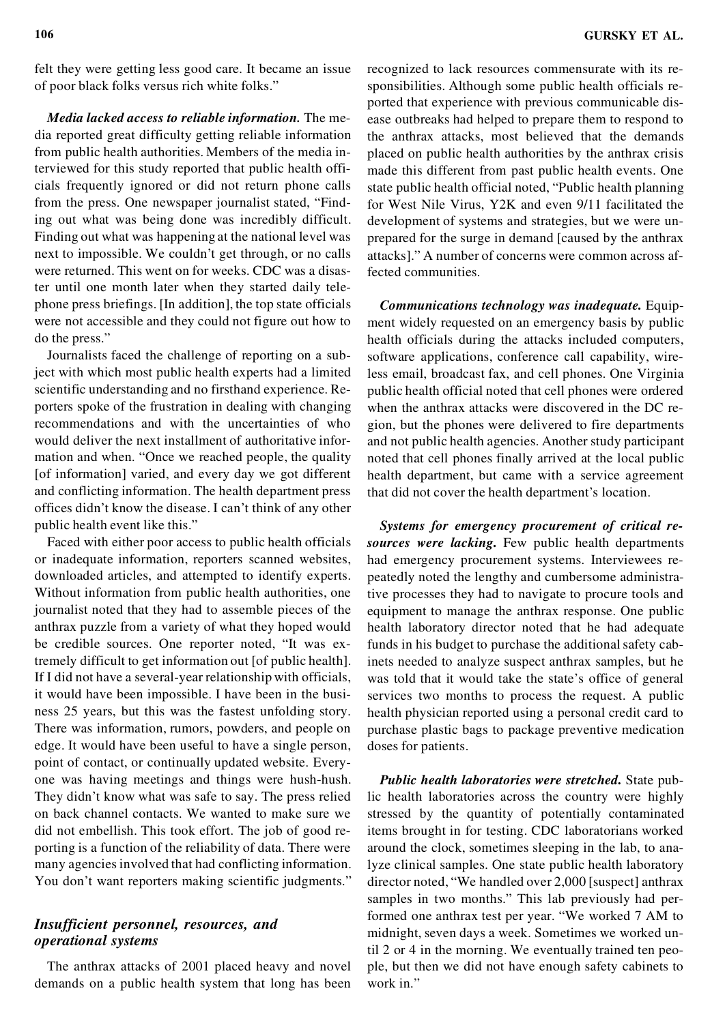felt they were getting less good care. It became an issue of poor black folks versus rich white folks."

*Media lacked access to reliable information.* The media reported great difficulty getting reliable information from public health authorities. Members of the media interviewed for this study reported that public health officials frequently ignored or did not return phone calls from the press. One newspaper journalist stated, "Finding out what was being done was incredibly difficult. Finding out what was happening at the national level was next to impossible. We couldn't get through, or no calls were returned. This went on for weeks. CDC was a disaster until one month later when they started daily telephone press briefings. [In addition], the top state officials were not accessible and they could not figure out how to do the press."

Journalists faced the challenge of reporting on a subject with which most public health experts had a limited scientific understanding and no firsthand experience. Reporters spoke of the frustration in dealing with changing recommendations and with the uncertainties of who would deliver the next installment of authoritative information and when. "Once we reached people, the quality [of information] varied, and every day we got different and conflicting information. The health department press offices didn't know the disease. I can't think of any other public health event like this."

Faced with either poor access to public health officials or inadequate information, reporters scanned websites, downloaded articles, and attempted to identify experts. Without information from public health authorities, one journalist noted that they had to assemble pieces of the anthrax puzzle from a variety of what they hoped would be credible sources. One reporter noted, "It was extremely difficult to get information out [of public health]. If I did not have a several-year relationship with officials, it would have been impossible. I have been in the business 25 years, but this was the fastest unfolding story. There was information, rumors, powders, and people on edge. It would have been useful to have a single person, point of contact, or continually updated website. Everyone was having meetings and things were hush-hush. They didn't know what was safe to say. The press relied on back channel contacts. We wanted to make sure we did not embellish. This took effort. The job of good reporting is a function of the reliability of data. There were many agencies involved that had conflicting information. You don't want reporters making scientific judgments."

#### *Insufficient personnel, resources, and operational systems*

The anthrax attacks of 2001 placed heavy and novel demands on a public health system that long has been recognized to lack resources commensurate with its responsibilities. Although some public health officials reported that experience with previous communicable disease outbreaks had helped to prepare them to respond to the anthrax attacks, most believed that the demands placed on public health authorities by the anthrax crisis made this different from past public health events. One state public health official noted, "Public health planning for West Nile Virus, Y2K and even 9/11 facilitated the development of systems and strategies, but we were unprepared for the surge in demand [caused by the anthrax attacks]." A number of concerns were common across affected communities.

*Communications technology was inadequate***.** Equipment widely requested on an emergency basis by public health officials during the attacks included computers, software applications, conference call capability, wireless email, broadcast fax, and cell phones. One Virginia public health official noted that cell phones were ordered when the anthrax attacks were discovered in the DC region, but the phones were delivered to fire departments and not public health agencies. Another study participant noted that cell phones finally arrived at the local public health department, but came with a service agreement that did not cover the health department's location.

*Systems for emergency procurement of critical resources were lacking***.** Few public health departments had emergency procurement systems. Interviewees repeatedly noted the lengthy and cumbersome administrative processes they had to navigate to procure tools and equipment to manage the anthrax response. One public health laboratory director noted that he had adequate funds in his budget to purchase the additional safety cabinets needed to analyze suspect anthrax samples, but he was told that it would take the state's office of general services two months to process the request. A public health physician reported using a personal credit card to purchase plastic bags to package preventive medication doses for patients.

*Public health laboratories were stretched***.** State public health laboratories across the country were highly stressed by the quantity of potentially contaminated items brought in for testing. CDC laboratorians worked around the clock, sometimes sleeping in the lab, to analyze clinical samples. One state public health laboratory director noted, "We handled over 2,000 [suspect] anthrax samples in two months." This lab previously had performed one anthrax test per year. "We worked 7 AM to midnight, seven days a week. Sometimes we worked until 2 or 4 in the morning. We eventually trained ten people, but then we did not have enough safety cabinets to work in."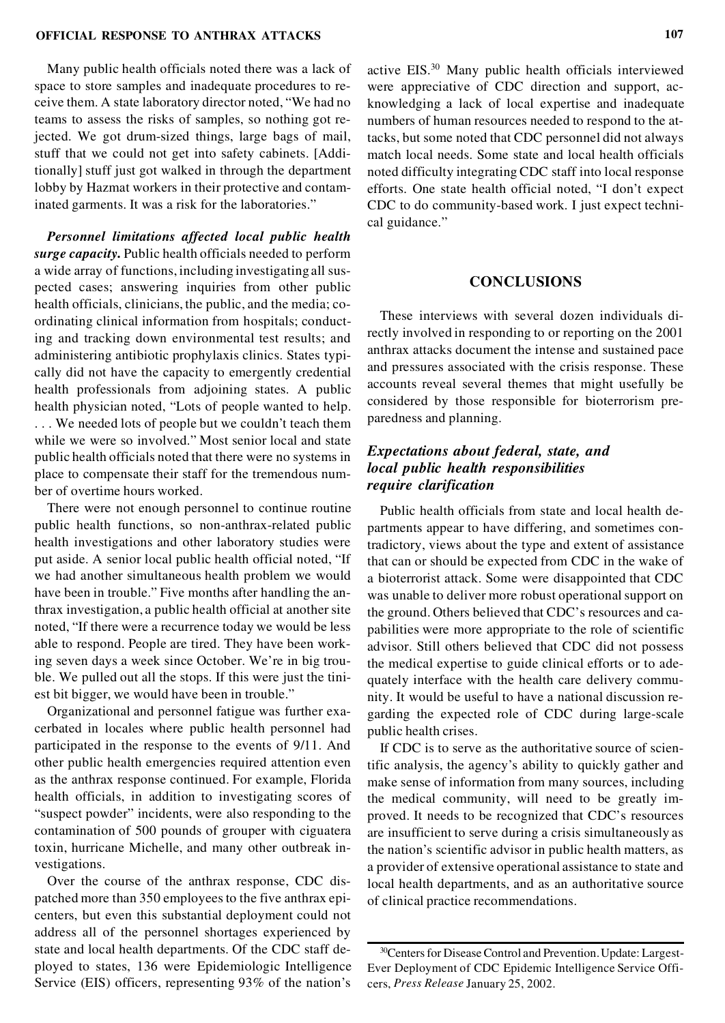# **OFFICIAL RESPONSE TO ANTHRAX ATTACKS 107**

Many public health officials noted there was a lack of space to store samples and inadequate procedures to receive them. A state laboratory director noted, "We had no teams to assess the risks of samples, so nothing got rejected. We got drum-sized things, large bags of mail, stuff that we could not get into safety cabinets. [Additionally] stuff just got walked in through the department lobby by Hazmat workers in their protective and contaminated garments. It was a risk for the laboratories."

*Personnel limitations affected local public health surge capacity***.** Public health officials needed to perform a wide array of functions, including investigating all suspected cases; answering inquiries from other public health officials, clinicians, the public, and the media; coordinating clinical information from hospitals; conducting and tracking down environmental test results; and administering antibiotic prophylaxis clinics. States typically did not have the capacity to emergently credential health professionals from adjoining states. A public health physician noted, "Lots of people wanted to help. . . . We needed lots of people but we couldn't teach them while we were so involved." Most senior local and state public health officials noted that there were no systems in place to compensate their staff for the tremendous number of overtime hours worked.

There were not enough personnel to continue routine public health functions, so non-anthrax-related public health investigations and other laboratory studies were put aside. A senior local public health official noted, "If we had another simultaneous health problem we would have been in trouble." Five months after handling the anthrax investigation, a public health official at another site noted, "If there were a recurrence today we would be less able to respond. People are tired. They have been working seven days a week since October. We're in big trouble. We pulled out all the stops. If this were just the tiniest bit bigger, we would have been in trouble."

Organizational and personnel fatigue was further exacerbated in locales where public health personnel had participated in the response to the events of 9/11. And other public health emergencies required attention even as the anthrax response continued. For example, Florida health officials, in addition to investigating scores of "suspect powder" incidents, were also responding to the contamination of 500 pounds of grouper with ciguatera toxin, hurricane Michelle, and many other outbreak investigations.

Over the course of the anthrax response, CDC dispatched more than 350 employees to the five anthrax epicenters, but even this substantial deployment could not address all of the personnel shortages experienced by state and local health departments. Of the CDC staff deployed to states, 136 were Epidemiologic Intelligence Service (EIS) officers, representing 93% of the nation's active EIS.<sup>30</sup> Many public health officials interviewed were appreciative of CDC direction and support, acknowledging a lack of local expertise and inadequate numbers of human resources needed to respond to the attacks, but some noted that CDC personnel did not always match local needs. Some state and local health officials noted difficulty integrating CDC staff into local response efforts. One state health official noted, "I don't expect CDC to do community-based work. I just expect technical guidance."

#### **CONCLUSIONS**

These interviews with several dozen individuals directly involved in responding to or reporting on the 2001 anthrax attacks document the intense and sustained pace and pressures associated with the crisis response. These accounts reveal several themes that might usefully be considered by those responsible for bioterrorism preparedness and planning.

#### *Expectations about federal, state, and local public health responsibilities require clarification*

Public health officials from state and local health departments appear to have differing, and sometimes contradictory, views about the type and extent of assistance that can or should be expected from CDC in the wake of a bioterrorist attack. Some were disappointed that CDC was unable to deliver more robust operational support on the ground. Others believed that CDC's resources and capabilities were more appropriate to the role of scientific advisor. Still others believed that CDC did not possess the medical expertise to guide clinical efforts or to adequately interface with the health care delivery community. It would be useful to have a national discussion regarding the expected role of CDC during large-scale public health crises.

If CDC is to serve as the authoritative source of scientific analysis, the agency's ability to quickly gather and make sense of information from many sources, including the medical community, will need to be greatly improved. It needs to be recognized that CDC's resources are insufficient to serve during a crisis simultaneously as the nation's scientific advisor in public health matters, as a provider of extensive operational assistance to state and local health departments, and as an authoritative source of clinical practice recommendations.

<sup>30</sup>Centers for Disease Control and Prevention. Update: Largest-Ever Deployment of CDC Epidemic Intelligence Service Officers, *Press Release* January 25, 2002.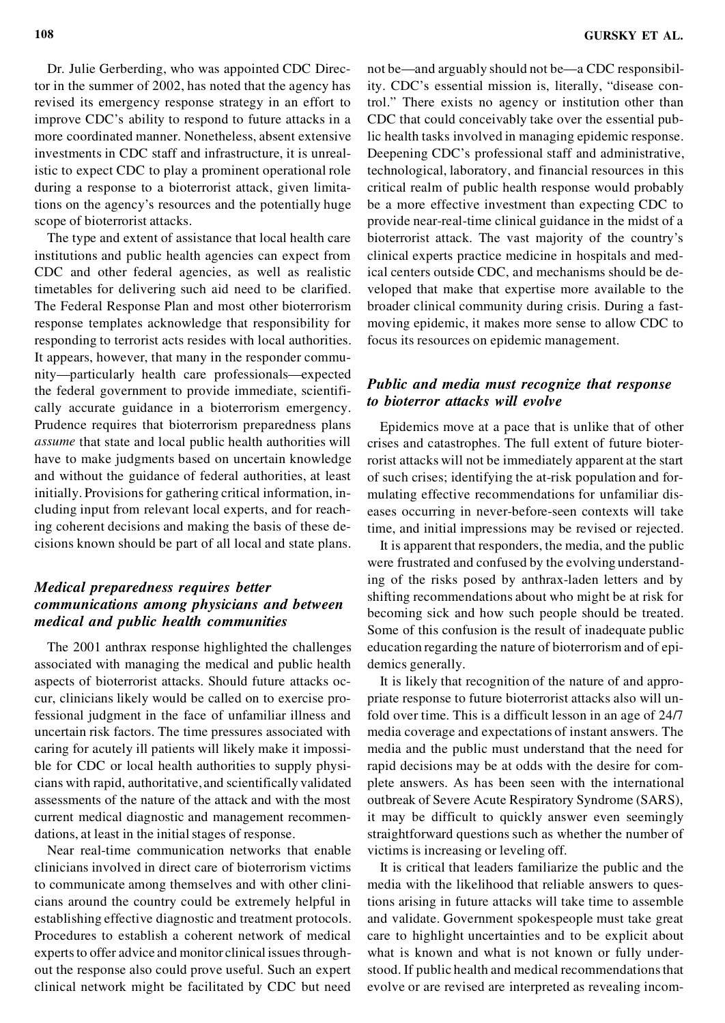Dr. Julie Gerberding, who was appointed CDC Director in the summer of 2002, has noted that the agency has revised its emergency response strategy in an effort to improve CDC's ability to respond to future attacks in a more coordinated manner. Nonetheless, absent extensive investments in CDC staff and infrastructure, it is unrealistic to expect CDC to play a prominent operational role during a response to a bioterrorist attack, given limitations on the agency's resources and the potentially huge scope of bioterrorist attacks.

The type and extent of assistance that local health care institutions and public health agencies can expect from CDC and other federal agencies, as well as realistic timetables for delivering such aid need to be clarified. The Federal Response Plan and most other bioterrorism response templates acknowledge that responsibility for responding to terrorist acts resides with local authorities. It appears, however, that many in the responder community—particularly health care professionals—expected the federal government to provide immediate, scientifically accurate guidance in a bioterrorism emergency. Prudence requires that bioterrorism preparedness plans *assume* that state and local public health authorities will have to make judgments based on uncertain knowledge and without the guidance of federal authorities, at least initially. Provisions for gathering critical information, including input from relevant local experts, and for reaching coherent decisions and making the basis of these decisions known should be part of all local and state plans.

### *Medical preparedness requires better communications among physicians and between medical and public health communities*

The 2001 anthrax response highlighted the challenges associated with managing the medical and public health aspects of bioterrorist attacks. Should future attacks occur, clinicians likely would be called on to exercise professional judgment in the face of unfamiliar illness and uncertain risk factors. The time pressures associated with caring for acutely ill patients will likely make it impossible for CDC or local health authorities to supply physicians with rapid, authoritative, and scientifically validated assessments of the nature of the attack and with the most current medical diagnostic and management recommendations, at least in the initial stages of response.

Near real-time communication networks that enable clinicians involved in direct care of bioterrorism victims to communicate among themselves and with other clinicians around the country could be extremely helpful in establishing effective diagnostic and treatment protocols. Procedures to establish a coherent network of medical experts to offer advice and monitor clinical issues throughout the response also could prove useful. Such an expert clinical network might be facilitated by CDC but need not be—and arguably should not be—a CDC responsibility. CDC's essential mission is, literally, "disease control." There exists no agency or institution other than CDC that could conceivably take over the essential public health tasks involved in managing epidemic response. Deepening CDC's professional staff and administrative, technological, laboratory, and financial resources in this critical realm of public health response would probably be a more effective investment than expecting CDC to provide near-real-time clinical guidance in the midst of a bioterrorist attack. The vast majority of the country's clinical experts practice medicine in hospitals and medical centers outside CDC, and mechanisms should be developed that make that expertise more available to the broader clinical community during crisis. During a fastmoving epidemic, it makes more sense to allow CDC to focus its resources on epidemic management.

# *Public and media must recognize that response to bioterror attacks will evolve*

Epidemics move at a pace that is unlike that of other crises and catastrophes. The full extent of future bioterrorist attacks will not be immediately apparent at the start of such crises; identifying the at-risk population and formulating effective recommendations for unfamiliar diseases occurring in never-before-seen contexts will take time, and initial impressions may be revised or rejected.

It is apparent that responders, the media, and the public were frustrated and confused by the evolving understanding of the risks posed by anthrax-laden letters and by shifting recommendations about who might be at risk for becoming sick and how such people should be treated. Some of this confusion is the result of inadequate public education regarding the nature of bioterrorism and of epidemics generally.

It is likely that recognition of the nature of and appropriate response to future bioterrorist attacks also will unfold over time. This is a difficult lesson in an age of 24/7 media coverage and expectations of instant answers. The media and the public must understand that the need for rapid decisions may be at odds with the desire for complete answers. As has been seen with the international outbreak of Severe Acute Respiratory Syndrome (SARS), it may be difficult to quickly answer even seemingly straightforward questions such as whether the number of victims is increasing or leveling off.

It is critical that leaders familiarize the public and the media with the likelihood that reliable answers to questions arising in future attacks will take time to assemble and validate. Government spokespeople must take great care to highlight uncertainties and to be explicit about what is known and what is not known or fully understood. If public health and medical recommendations that evolve or are revised are interpreted as revealing incom-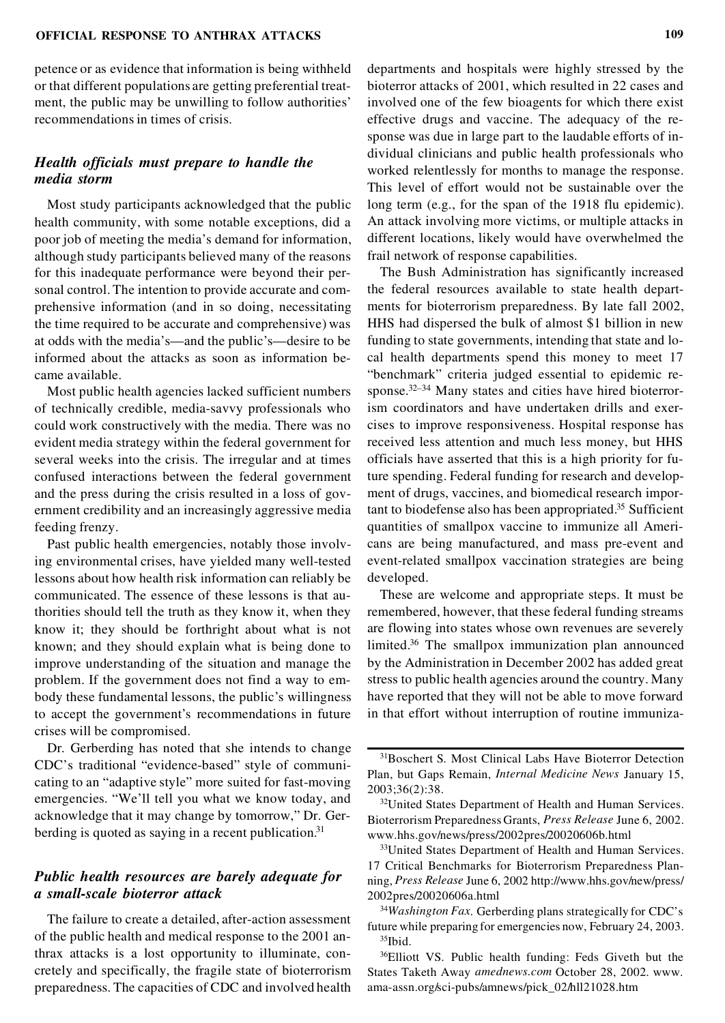# **OFFICIAL RESPONSE TO ANTHRAX ATTACKS 109**

petence or as evidence that information is being withheld or that different populations are getting preferential treatment, the public may be unwilling to follow authorities' recommendations in times of crisis.

#### *Health officials must prepare to handle the media storm*

Most study participants acknowledged that the public health community, with some notable exceptions, did a poor job of meeting the media's demand for information, although study participants believed many of the reasons for this inadequate performance were beyond their personal control. The intention to provide accurate and comprehensive information (and in so doing, necessitating the time required to be accurate and comprehensive) was at odds with the media's—and the public's—desire to be informed about the attacks as soon as information became available.

Most public health agencies lacked sufficient numbers of technically credible, media-savvy professionals who could work constructively with the media. There was no evident media strategy within the federal government for several weeks into the crisis. The irregular and at times confused interactions between the federal government and the press during the crisis resulted in a loss of government credibility and an increasingly aggressive media feeding frenzy.

Past public health emergencies, notably those involving environmental crises, have yielded many well-tested lessons about how health risk information can reliably be communicated. The essence of these lessons is that authorities should tell the truth as they know it, when they know it; they should be forthright about what is not known; and they should explain what is being done to improve understanding of the situation and manage the problem. If the government does not find a way to embody these fundamental lessons, the public's willingness to accept the government's recommendations in future crises will be compromised.

Dr. Gerberding has noted that she intends to change CDC's traditional "evidence-based" style of communicating to an "adaptive style" more suited for fast-moving emergencies. "We'll tell you what we know today, and acknowledge that it may change by tomorrow," Dr. Gerberding is quoted as saying in a recent publication.<sup>31</sup>

#### *Public health resources are barely adequate for a small-scale bioterror attack*

The failure to create a detailed, after-action assessment of the public health and medical response to the 2001 anthrax attacks is a lost opportunity to illuminate, concretely and specifically, the fragile state of bioterrorism preparedness. The capacities of CDC and involved health departments and hospitals were highly stressed by the bioterror attacks of 2001, which resulted in 22 cases and involved one of the few bioagents for which there exist effective drugs and vaccine. The adequacy of the response was due in large part to the laudable efforts of individual clinicians and public health professionals who worked relentlessly for months to manage the response. This level of effort would not be sustainable over the long term (e.g., for the span of the 1918 flu epidemic). An attack involving more victims, or multiple attacks in different locations, likely would have overwhelmed the frail network of response capabilities.

The Bush Administration has significantly increased the federal resources available to state health departments for bioterrorism preparedness. By late fall 2002, HHS had dispersed the bulk of almost \$1 billion in new funding to state governments, intending that state and local health departments spend this money to meet 17 "benchmark" criteria judged essential to epidemic response.<sup>32–34</sup> Many states and cities have hired bioterrorism coordinators and have undertaken drills and exercises to improve responsiveness. Hospital response has received less attention and much less money, but HHS officials have asserted that this is a high priority for future spending. Federal funding for research and development of drugs, vaccines, and biomedical research important to biodefense also has been appropriated.<sup>35</sup> Sufficient quantities of smallpox vaccine to immunize all Americans are being manufactured, and mass pre-event and event-related smallpox vaccination strategies are being developed.

These are welcome and appropriate steps. It must be remembered, however, that these federal funding streams are flowing into states whose own revenues are severely limited.<sup>36</sup> The smallpox immunization plan announced by the Administration in December 2002 has added great stress to public health agencies around the country. Many have reported that they will not be able to move forward in that effort without interruption of routine immuniza-

<sup>33</sup>United States Department of Health and Human Services. 17 Critical Benchmarks for Bioterrorism Preparedness Planning, *Press Release* June 6, 2002 http://www.hhs.gov/new/press/ 2002pres/20020606a.html

<sup>34</sup>*Washington Fax*. Gerberding plans strategically for CDC's future while preparing for emergencies now, February 24, 2003.  $35$ Ibid.

<sup>36</sup>Elliott VS. Public health funding: Feds Giveth but the States Taketh Away *amednews.com* October 28, 2002. www. ama-assn.org/sci-pubs/amnews/pick\_02/hll21028.htm

<sup>31</sup>Boschert S. Most Clinical Labs Have Bioterror Detection Plan, but Gaps Remain, *Internal Medicine News* January 15, 2003;36(2):38.

<sup>32</sup>United States Department of Health and Human Services. Bioterrorism Preparedness Grants, *Press Release* June 6, 2002. www.hhs.gov/news/press/2002pres/20020606b.html